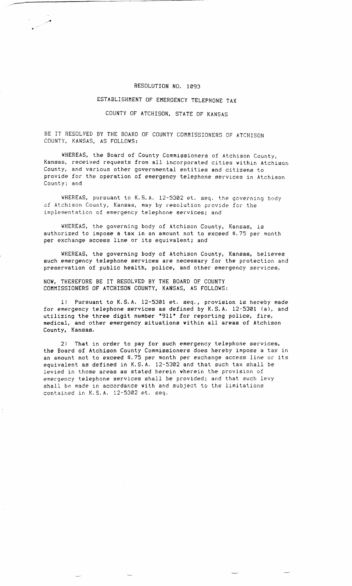## RESOLUTION NO. 1093

## ESTABLISHMENT OF EMERGENCY TELEPHONE TAX

## COUNTY OF ATCHISON, STATE OF KANSAS

BE IT RESOLVED BY THE BOARD OF COUNTY COMMISSIONERS OF ATCHISON COUNTY, KANSAS, AS FOLLOWS:

فليستحق والمتعابر

WHEREAS, the Board of County Commissioners of Atchison County, Kansas, received requests from all incorporated cities within Atchison County, and various other governmental entities and citizens to provide for the operation of emergency telephone services in Atchison County; and

WHEREAS, pursuant to K.S.A. 12-5302 et, seq. the governing body of Atchison County, Kansas, may by resolution provide for the implementation of emergency telephone services; and

WHEREAS, the governing body of Atchison County, Kansas, is authorized to impose a tax in an amount not to exceed \$.75 per month per exchange access line or its equivalent; and

WHEREAS, the governing body of Atchison County, Kansas, believes such emergency telephone services are necessary for the protection and preservation of public health, police, and other emergency services.

NOW, THEREFORE BE IT RESOLVED BY THE BOARD OF COUNTY COMMISSIONERS OF ATCHISON COUNTY, KANSAS, AS FOLLOWS:

1) Pursuant to K.S.A. 12-5301 et. seq., provision is hereby made for emergency telephone services as defined by K.S.A. 12-5301 (a), and utilizing the three digit number "911" for reporting police, fire, medical, and other emergency situations within all areas of Atchison County, Kansas.

2) That in order to pay for such emergency telephone services, the Board of Atchison County Commissioners does hereby impose a tax in an amount not to exceed \$.75 per month per exchange access line or its equivalent as defined in K.S.A. 12-5302 and that such tax shall be levied in those areas as stated herein wherein the provision of emergency telephone services shall be provided; and that such levy shall be made in accordance with and subject to the limitations contained in K.S.A. 12-5302 et. seq.